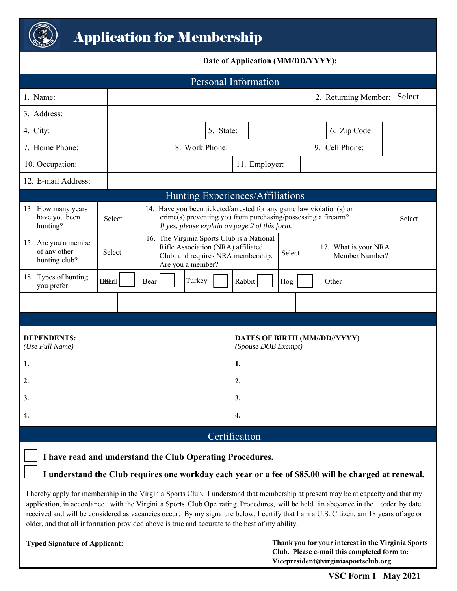

## **Date of Application (MM/DD/YYYY):**

| <b>Personal Information</b>                                                                                                                                                                                                                                                                                                                                                                                                                                                                                   |        |                                                                                                                                             |                                                                                                                                                                                         |                                                                                                                                           |                                                             |              |                      |        |  |
|---------------------------------------------------------------------------------------------------------------------------------------------------------------------------------------------------------------------------------------------------------------------------------------------------------------------------------------------------------------------------------------------------------------------------------------------------------------------------------------------------------------|--------|---------------------------------------------------------------------------------------------------------------------------------------------|-----------------------------------------------------------------------------------------------------------------------------------------------------------------------------------------|-------------------------------------------------------------------------------------------------------------------------------------------|-------------------------------------------------------------|--------------|----------------------|--------|--|
| 1. Name:                                                                                                                                                                                                                                                                                                                                                                                                                                                                                                      |        |                                                                                                                                             |                                                                                                                                                                                         |                                                                                                                                           |                                                             |              | 2. Returning Member: | Select |  |
| 3. Address:                                                                                                                                                                                                                                                                                                                                                                                                                                                                                                   |        |                                                                                                                                             |                                                                                                                                                                                         |                                                                                                                                           |                                                             |              |                      |        |  |
| 4. City:                                                                                                                                                                                                                                                                                                                                                                                                                                                                                                      |        |                                                                                                                                             | 5. State:                                                                                                                                                                               |                                                                                                                                           |                                                             | 6. Zip Code: |                      |        |  |
| 7. Home Phone:                                                                                                                                                                                                                                                                                                                                                                                                                                                                                                |        | 8. Work Phone:                                                                                                                              |                                                                                                                                                                                         |                                                                                                                                           |                                                             |              | 9. Cell Phone:       |        |  |
| 10. Occupation:                                                                                                                                                                                                                                                                                                                                                                                                                                                                                               |        |                                                                                                                                             |                                                                                                                                                                                         |                                                                                                                                           | 11. Employer:                                               |              |                      |        |  |
| 12. E-mail Address:                                                                                                                                                                                                                                                                                                                                                                                                                                                                                           |        |                                                                                                                                             |                                                                                                                                                                                         |                                                                                                                                           |                                                             |              |                      |        |  |
| Hunting Experiences/Affiliations                                                                                                                                                                                                                                                                                                                                                                                                                                                                              |        |                                                                                                                                             |                                                                                                                                                                                         |                                                                                                                                           |                                                             |              |                      |        |  |
| 13. How many years<br>have you been<br>hunting?                                                                                                                                                                                                                                                                                                                                                                                                                                                               | Select |                                                                                                                                             | 14. Have you been ticketed/arrested for any game law violation(s) or<br>crime(s) preventing you from purchasing/possessing a firearm?<br>If yes, please explain on page 2 of this form. |                                                                                                                                           |                                                             |              | Select               |        |  |
| 15. Are you a member<br>of any other<br>hunting club?                                                                                                                                                                                                                                                                                                                                                                                                                                                         | Select | 16. The Virginia Sports Club is a National<br>Rifle Association (NRA) affiliated<br>Club, and requires NRA membership.<br>Are you a member? |                                                                                                                                                                                         | 17. What is your NRA<br>Select<br>Member Number?                                                                                          |                                                             |              |                      |        |  |
| 18. Types of hunting<br>you prefer:                                                                                                                                                                                                                                                                                                                                                                                                                                                                           | D'ëër" | Turkey<br>Rabbit<br>Bear<br>Hog<br>Other                                                                                                    |                                                                                                                                                                                         |                                                                                                                                           |                                                             |              |                      |        |  |
|                                                                                                                                                                                                                                                                                                                                                                                                                                                                                                               |        |                                                                                                                                             |                                                                                                                                                                                         |                                                                                                                                           |                                                             |              |                      |        |  |
|                                                                                                                                                                                                                                                                                                                                                                                                                                                                                                               |        |                                                                                                                                             |                                                                                                                                                                                         |                                                                                                                                           |                                                             |              |                      |        |  |
| <b>DEPENDENTS:</b><br>(Use Full Name)                                                                                                                                                                                                                                                                                                                                                                                                                                                                         |        |                                                                                                                                             |                                                                                                                                                                                         |                                                                                                                                           | <b>DATES OF BIRTH (MM//DD//YYYY)</b><br>(Spouse DOB Exempt) |              |                      |        |  |
| 1.                                                                                                                                                                                                                                                                                                                                                                                                                                                                                                            |        |                                                                                                                                             |                                                                                                                                                                                         | 1.                                                                                                                                        |                                                             |              |                      |        |  |
| 2.                                                                                                                                                                                                                                                                                                                                                                                                                                                                                                            |        |                                                                                                                                             |                                                                                                                                                                                         |                                                                                                                                           | 2.                                                          |              |                      |        |  |
| 3.                                                                                                                                                                                                                                                                                                                                                                                                                                                                                                            |        |                                                                                                                                             |                                                                                                                                                                                         |                                                                                                                                           | 3.                                                          |              |                      |        |  |
| 4.                                                                                                                                                                                                                                                                                                                                                                                                                                                                                                            |        |                                                                                                                                             |                                                                                                                                                                                         |                                                                                                                                           | 4.                                                          |              |                      |        |  |
| Certification                                                                                                                                                                                                                                                                                                                                                                                                                                                                                                 |        |                                                                                                                                             |                                                                                                                                                                                         |                                                                                                                                           |                                                             |              |                      |        |  |
| I have read and understand the Club Operating Procedures.                                                                                                                                                                                                                                                                                                                                                                                                                                                     |        |                                                                                                                                             |                                                                                                                                                                                         |                                                                                                                                           |                                                             |              |                      |        |  |
| I understand the Club requires one workday each year or a fee of \$85.00 will be charged at renewal.                                                                                                                                                                                                                                                                                                                                                                                                          |        |                                                                                                                                             |                                                                                                                                                                                         |                                                                                                                                           |                                                             |              |                      |        |  |
| I hereby apply for membership in the Virginia Sports Club. I understand that membership at present may be at capacity and that my<br>application, in accordance with the Virgini a Sports Club Ope rating Procedures, will be held in abeyance in the order by date<br>received and will be considered as vacancies occur. By my signature below, I certify that I am a U.S. Citizen, am 18 years of age or<br>older, and that all information provided above is true and accurate to the best of my ability. |        |                                                                                                                                             |                                                                                                                                                                                         |                                                                                                                                           |                                                             |              |                      |        |  |
| <b>Typed Signature of Applicant:</b>                                                                                                                                                                                                                                                                                                                                                                                                                                                                          |        |                                                                                                                                             |                                                                                                                                                                                         | Thank you for your interest in the Virginia Sports<br>Club. Please e-mail this completed form to:<br>Vicepresident@virginiasportsclub.org |                                                             |              |                      |        |  |